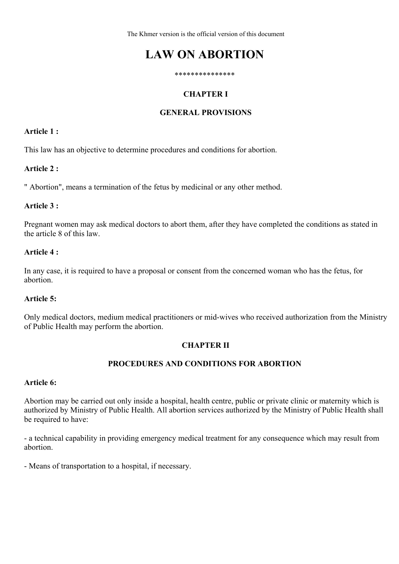The Khmer version is the official version of this document

# **LAW ON ABORTION**

#### \*\*\*\*\*\*\*\*\*\*\*\*\*\*\*

### **CHAPTER I**

#### **GENERAL PROVISIONS**

#### **Article 1 :**

This law has an objective to determine procedures and conditions for abortion.

#### **Article 2 :**

" Abortion", means a termination of the fetus by medicinal or any other method.

### **Article 3 :**

Pregnant women may ask medical doctors to abort them, after they have completed the conditions as stated in the article 8 of this law.

#### **Article 4 :**

In any case, it is required to have a proposal or consent from the concerned woman who has the fetus, for abortion.

#### **Article 5:**

Only medical doctors, medium medical practitioners or mid-wives who received authorization from the Ministry of Public Health may perform the abortion.

#### **CHAPTER II**

#### **PROCEDURES AND CONDITIONS FOR ABORTION**

#### **Article 6:**

Abortion may be carried out only inside a hospital, health centre, public or private clinic or maternity which is authorized by Ministry of Public Health. All abortion services authorized by the Ministry of Public Health shall be required to have:

- a technical capability in providing emergency medical treatment for any consequence which may result from abortion.

- Means of transportation to a hospital, if necessary.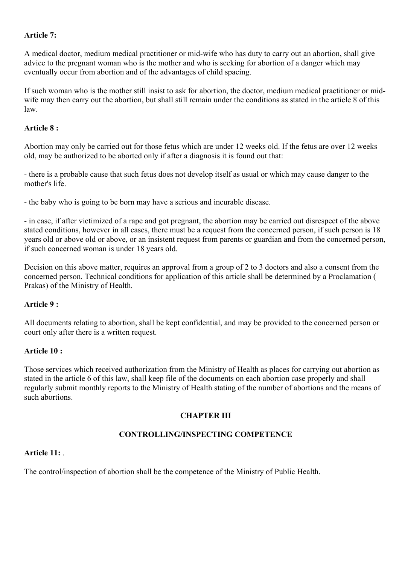### **Article 7:**

A medical doctor, medium medical practitioner or mid-wife who has duty to carry out an abortion, shall give advice to the pregnant woman who is the mother and who is seeking for abortion of a danger which may eventually occur from abortion and of the advantages of child spacing.

If such woman who is the mother still insist to ask for abortion, the doctor, medium medical practitioner or midwife may then carry out the abortion, but shall still remain under the conditions as stated in the article 8 of this law.

#### **Article 8 :**

Abortion may only be carried out for those fetus which are under 12 weeks old. If the fetus are over 12 weeks old, may be authorized to be aborted only if after a diagnosis it is found out that:

- there is a probable cause that such fetus does not develop itself as usual or which may cause danger to the mother's life.

- the baby who is going to be born may have a serious and incurable disease.

- in case, if after victimized of a rape and got pregnant, the abortion may be carried out disrespect of the above stated conditions, however in all cases, there must be a request from the concerned person, if such person is 18 years old or above old or above, or an insistent request from parents or guardian and from the concerned person, if such concerned woman is under 18 years old.

Decision on this above matter, requires an approval from a group of 2 to 3 doctors and also a consent from the concerned person. Technical conditions for application of this article shall be determined by a Proclamation ( Prakas) of the Ministry of Health.

# **Article 9 :**

All documents relating to abortion, shall be kept confidential, and may be provided to the concerned person or court only after there is a written request.

#### **Article 10 :**

Those services which received authorization from the Ministry of Health as places for carrying out abortion as stated in the article 6 of this law, shall keep file of the documents on each abortion case properly and shall regularly submit monthly reports to the Ministry of Health stating of the number of abortions and the means of such abortions.

# **CHAPTER III**

# **CONTROLLING/INSPECTING COMPETENCE**

#### **Article 11:** .

The control/inspection of abortion shall be the competence of the Ministry of Public Health.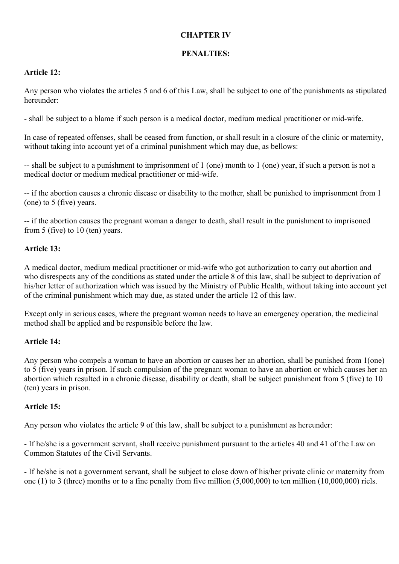#### **CHAPTER IV**

# **PENALTIES:**

### **Article 12:**

Any person who violates the articles 5 and 6 of this Law, shall be subject to one of the punishments as stipulated hereunder:

- shall be subject to a blame if such person is a medical doctor, medium medical practitioner or mid-wife.

In case of repeated offenses, shall be ceased from function, or shall result in a closure of the clinic or maternity, without taking into account yet of a criminal punishment which may due, as bellows:

-- shall be subject to a punishment to imprisonment of 1 (one) month to 1 (one) year, if such a person is not a medical doctor or medium medical practitioner or mid-wife.

-- if the abortion causes a chronic disease or disability to the mother, shall be punished to imprisonment from 1 (one) to 5 (five) years.

-- if the abortion causes the pregnant woman a danger to death, shall result in the punishment to imprisoned from 5 (five) to 10 (ten) years.

# **Article 13:**

A medical doctor, medium medical practitioner or mid-wife who got authorization to carry out abortion and who disrespects any of the conditions as stated under the article 8 of this law, shall be subject to deprivation of his/her letter of authorization which was issued by the Ministry of Public Health, without taking into account yet of the criminal punishment which may due, as stated under the article 12 of this law.

Except only in serious cases, where the pregnant woman needs to have an emergency operation, the medicinal method shall be applied and be responsible before the law.

#### **Article 14:**

Any person who compels a woman to have an abortion or causes her an abortion, shall be punished from 1(one) to 5 (five) years in prison. If such compulsion of the pregnant woman to have an abortion or which causes her an abortion which resulted in a chronic disease, disability or death, shall be subject punishment from 5 (five) to 10 (ten) years in prison.

# **Article 15:**

Any person who violates the article 9 of this law, shall be subject to a punishment as hereunder:

- If he/she is a government servant, shall receive punishment pursuant to the articles 40 and 41 of the Law on Common Statutes of the Civil Servants.

- If he/she is not a government servant, shall be subject to close down of his/her private clinic or maternity from one (1) to 3 (three) months or to a fine penalty from five million (5,000,000) to ten million (10,000,000) riels.